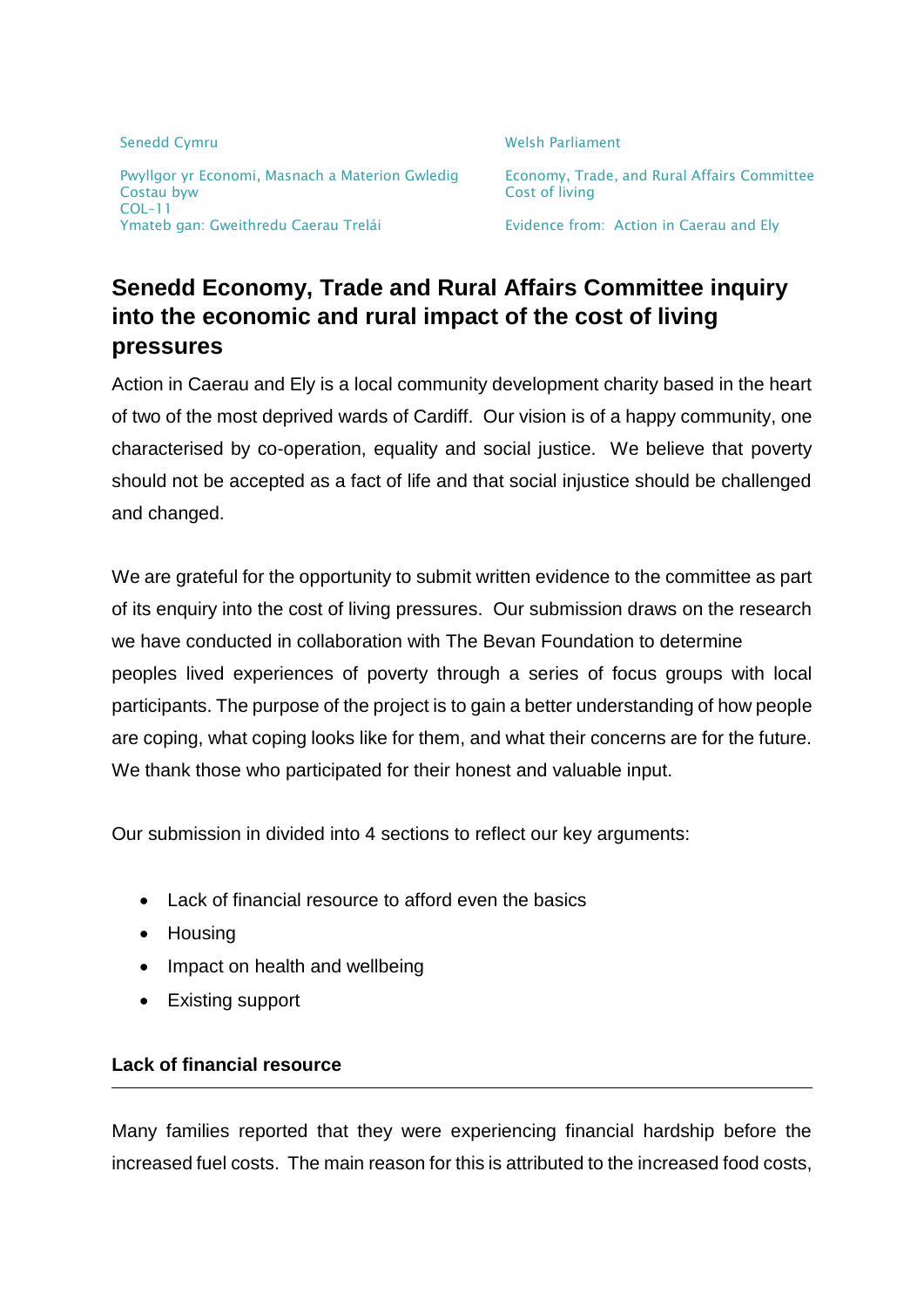Senedd Cymru Nelson and Cymru Welsh Parliament Pwyllgor yr Economi, Masnach a Materion Gwledig Economy, Trade, and Rural Affairs Committee Costau byw Cost of living COL–11 Ymateb gan: Gweithredu Caerau Trelái **Europe Existence from: Action in Caerau and Ely** 

# **Senedd Economy, Trade and Rural Affairs Committee inquiry into the economic and rural impact of the cost of living pressures**

Action in Caerau and Ely is a local community development charity based in the heart of two of the most deprived wards of Cardiff. Our vision is of a happy community, one characterised by co-operation, equality and social justice. We believe that poverty should not be accepted as a fact of life and that social injustice should be challenged and changed.

We are grateful for the opportunity to submit written evidence to the committee as part of its enquiry into the cost of living pressures. Our submission draws on the research we have conducted in collaboration with The Bevan Foundation to determine peoples lived experiences of poverty through a series of focus groups with local participants. The purpose of the project is to gain a better understanding of how people are coping, what coping looks like for them, and what their concerns are for the future. We thank those who participated for their honest and valuable input.

Our submission in divided into 4 sections to reflect our key arguments:

- Lack of financial resource to afford even the basics
- Housing
- Impact on health and wellbeing
- Existing support

## **Lack of financial resource**

Many families reported that they were experiencing financial hardship before the increased fuel costs. The main reason for this is attributed to the increased food costs,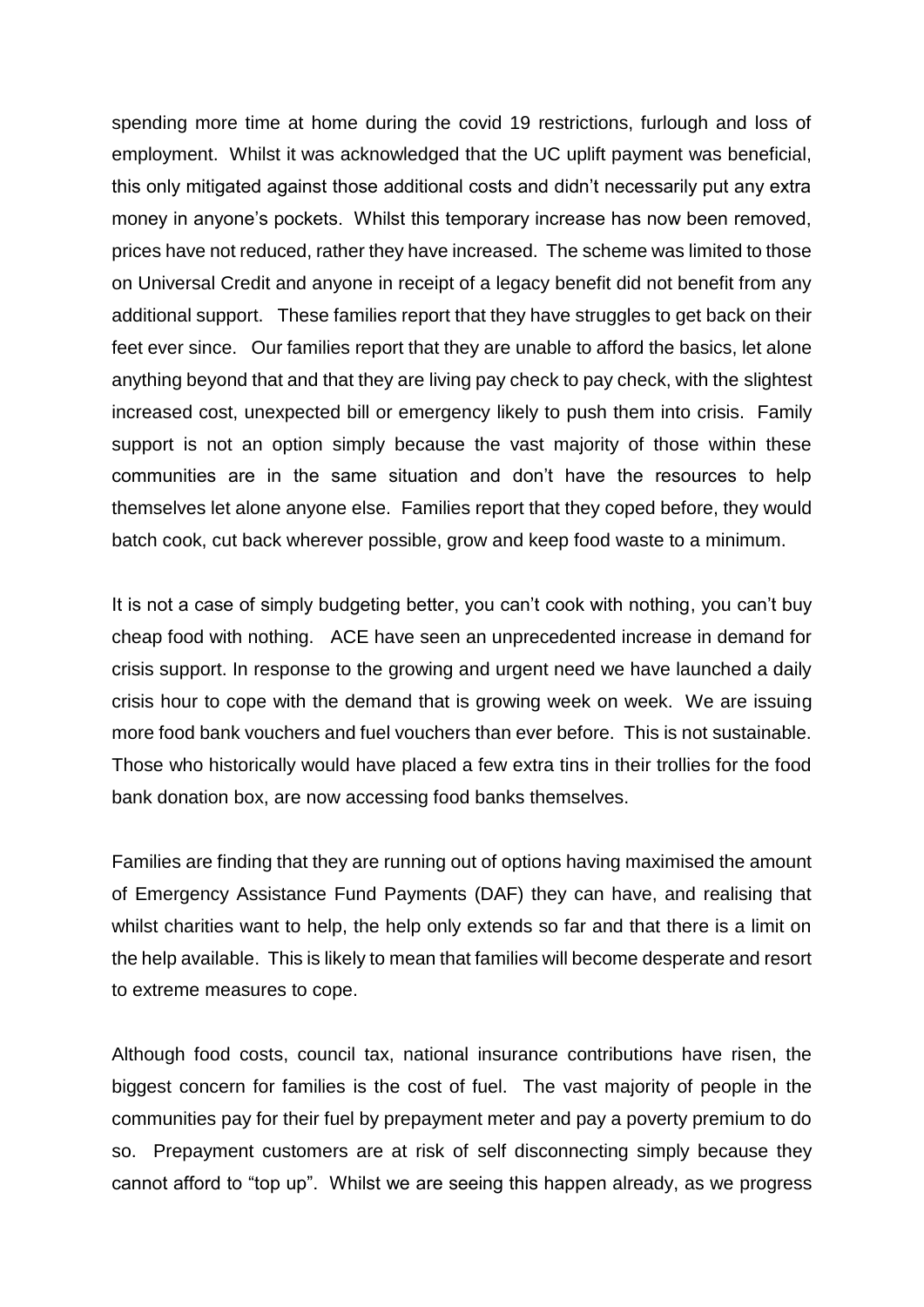spending more time at home during the covid 19 restrictions, furlough and loss of employment. Whilst it was acknowledged that the UC uplift payment was beneficial, this only mitigated against those additional costs and didn't necessarily put any extra money in anyone's pockets. Whilst this temporary increase has now been removed, prices have not reduced, rather they have increased. The scheme was limited to those on Universal Credit and anyone in receipt of a legacy benefit did not benefit from any additional support. These families report that they have struggles to get back on their feet ever since. Our families report that they are unable to afford the basics, let alone anything beyond that and that they are living pay check to pay check, with the slightest increased cost, unexpected bill or emergency likely to push them into crisis. Family support is not an option simply because the vast majority of those within these communities are in the same situation and don't have the resources to help themselves let alone anyone else. Families report that they coped before, they would batch cook, cut back wherever possible, grow and keep food waste to a minimum.

It is not a case of simply budgeting better, you can't cook with nothing, you can't buy cheap food with nothing. ACE have seen an unprecedented increase in demand for crisis support. In response to the growing and urgent need we have launched a daily crisis hour to cope with the demand that is growing week on week. We are issuing more food bank vouchers and fuel vouchers than ever before. This is not sustainable. Those who historically would have placed a few extra tins in their trollies for the food bank donation box, are now accessing food banks themselves.

Families are finding that they are running out of options having maximised the amount of Emergency Assistance Fund Payments (DAF) they can have, and realising that whilst charities want to help, the help only extends so far and that there is a limit on the help available. This is likely to mean that families will become desperate and resort to extreme measures to cope.

Although food costs, council tax, national insurance contributions have risen, the biggest concern for families is the cost of fuel. The vast majority of people in the communities pay for their fuel by prepayment meter and pay a poverty premium to do so. Prepayment customers are at risk of self disconnecting simply because they cannot afford to "top up". Whilst we are seeing this happen already, as we progress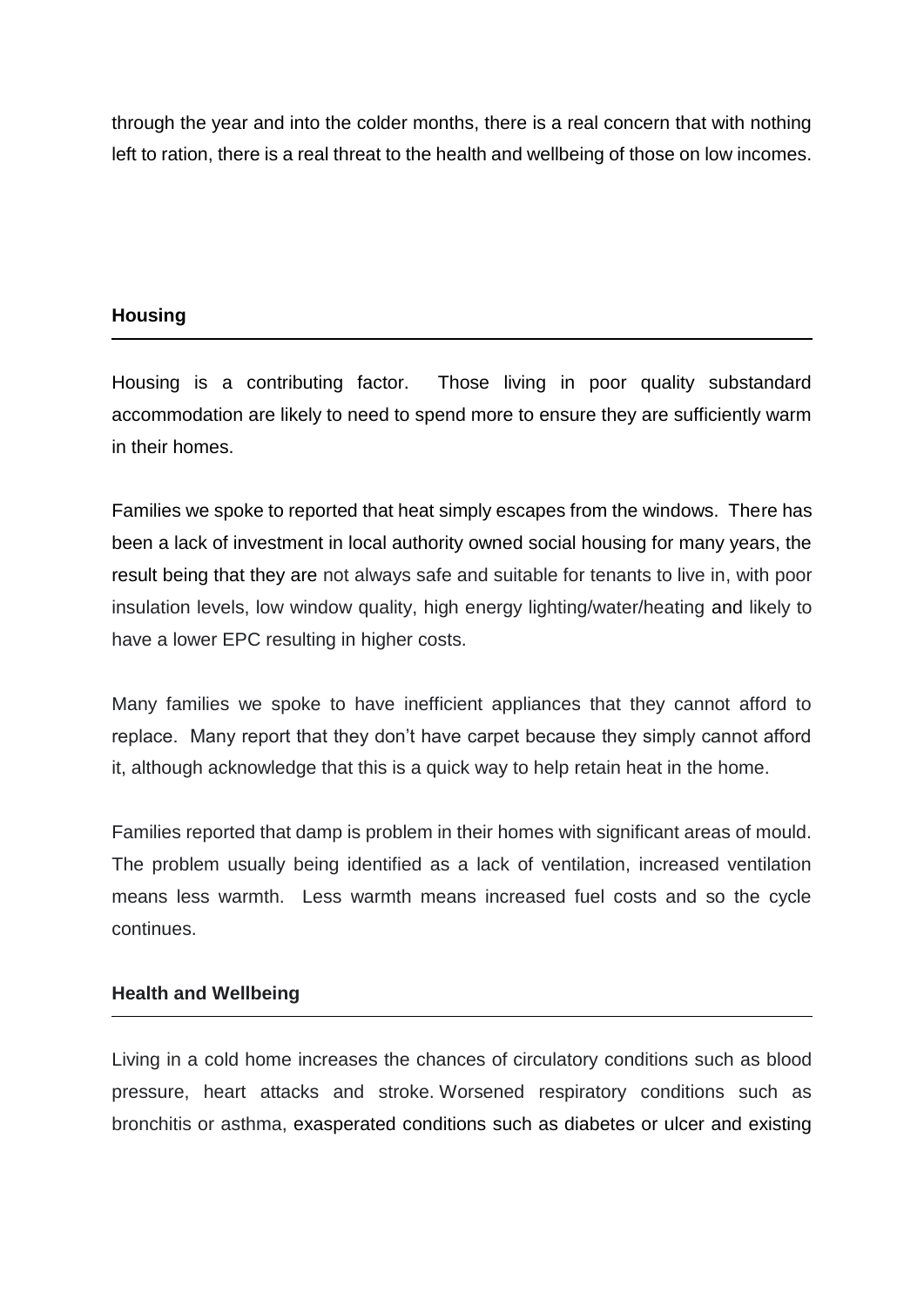through the year and into the colder months, there is a real concern that with nothing left to ration, there is a real threat to the health and wellbeing of those on low incomes.

## **Housing**

Housing is a contributing factor. Those living in poor quality substandard accommodation are likely to need to spend more to ensure they are sufficiently warm in their homes.

Families we spoke to reported that heat simply escapes from the windows. There has been a lack of investment in local authority owned social housing for many years, the result being that they are not always safe and suitable for tenants to live in, with poor insulation levels, low window quality, high energy lighting/water/heating and likely to have a lower EPC resulting in higher costs.

Many families we spoke to have inefficient appliances that they cannot afford to replace. Many report that they don't have carpet because they simply cannot afford it, although acknowledge that this is a quick way to help retain heat in the home.

Families reported that damp is problem in their homes with significant areas of mould. The problem usually being identified as a lack of ventilation, increased ventilation means less warmth. Less warmth means increased fuel costs and so the cycle continues.

## **Health and Wellbeing**

Living in a cold home increases the chances of circulatory conditions such as blood pressure, heart attacks and stroke. Worsened respiratory conditions such as bronchitis or asthma, exasperated conditions such as diabetes or ulcer and existing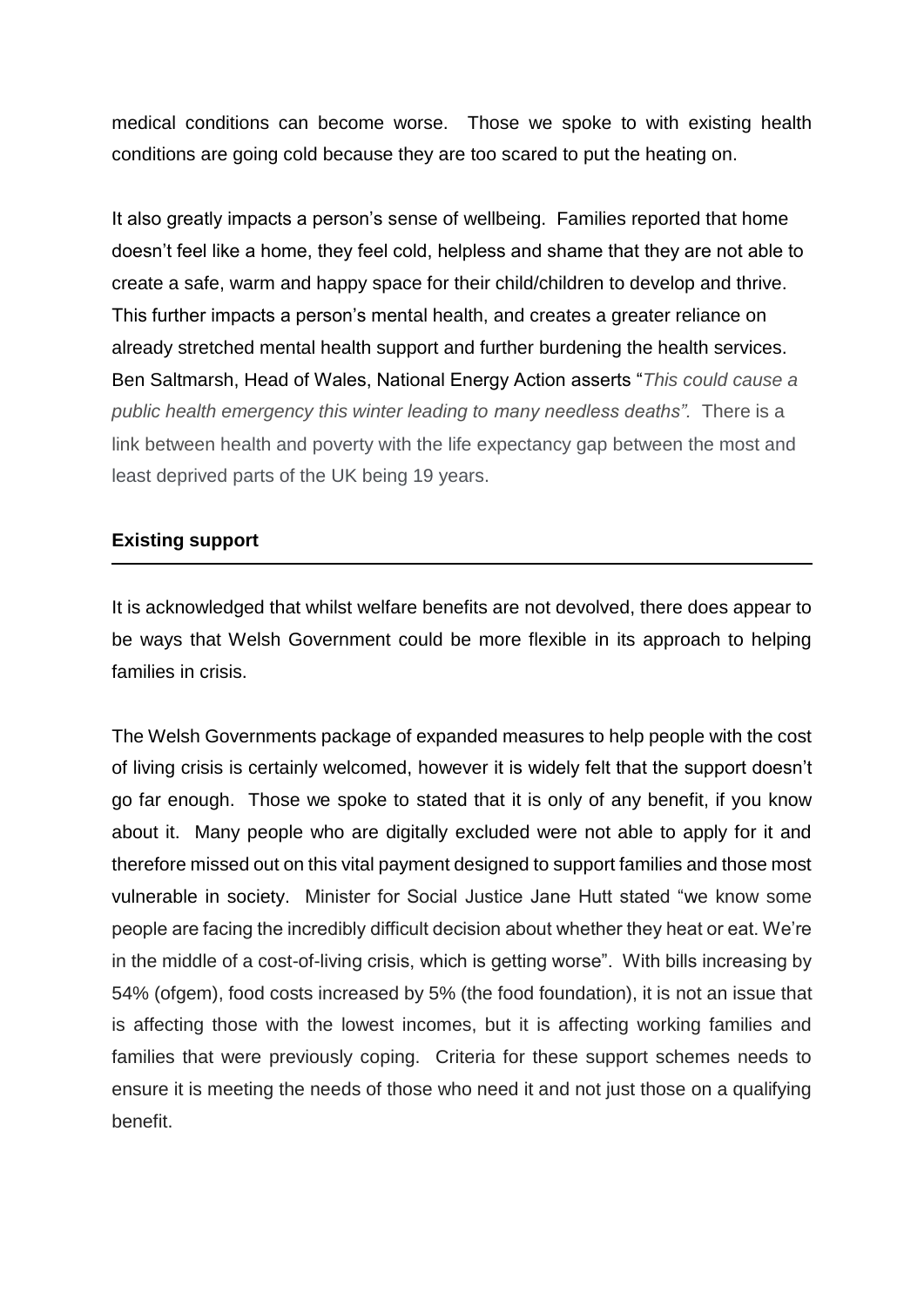medical conditions can become worse. Those we spoke to with existing health conditions are going cold because they are too scared to put the heating on.

It also greatly impacts a person's sense of wellbeing. Families reported that home doesn't feel like a home, they feel cold, helpless and shame that they are not able to create a safe, warm and happy space for their child/children to develop and thrive. This further impacts a person's mental health, and creates a greater reliance on already stretched mental health support and further burdening the health services. Ben Saltmarsh, Head of Wales, National Energy Action asserts "*This could cause a public health emergency this winter leading to many needless deaths".* There is a link between health and poverty with the life expectancy gap between the most and least deprived parts of the UK being 19 years.

#### **Existing support**

It is acknowledged that whilst welfare benefits are not devolved, there does appear to be ways that Welsh Government could be more flexible in its approach to helping families in crisis.

The Welsh Governments package of expanded measures to help people with the cost of living crisis is certainly welcomed, however it is widely felt that the support doesn't go far enough. Those we spoke to stated that it is only of any benefit, if you know about it. Many people who are digitally excluded were not able to apply for it and therefore missed out on this vital payment designed to support families and those most vulnerable in society. Minister for Social Justice Jane Hutt stated "we know some people are facing the incredibly difficult decision about whether they heat or eat. We're in the middle of a cost-of-living crisis, which is getting worse". With bills increasing by 54% (ofgem), food costs increased by 5% (the food foundation), it is not an issue that is affecting those with the lowest incomes, but it is affecting working families and families that were previously coping. Criteria for these support schemes needs to ensure it is meeting the needs of those who need it and not just those on a qualifying benefit.